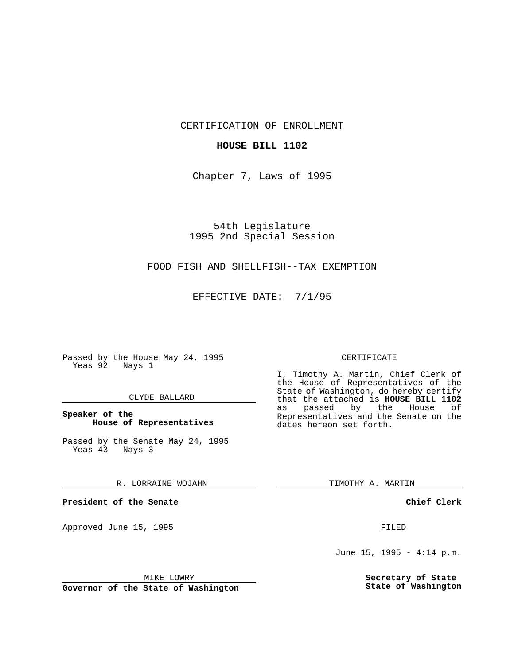CERTIFICATION OF ENROLLMENT

# **HOUSE BILL 1102**

Chapter 7, Laws of 1995

54th Legislature 1995 2nd Special Session

# FOOD FISH AND SHELLFISH--TAX EXEMPTION

EFFECTIVE DATE: 7/1/95

Passed by the House May 24, 1995 Yeas 92 Nays 1

## CLYDE BALLARD

## **Speaker of the House of Representatives**

Passed by the Senate May 24, 1995 Yeas 43 Nays 3

#### R. LORRAINE WOJAHN

**President of the Senate**

Approved June 15, 1995 FILED

#### MIKE LOWRY

**Governor of the State of Washington**

#### CERTIFICATE

I, Timothy A. Martin, Chief Clerk of the House of Representatives of the State of Washington, do hereby certify that the attached is **HOUSE BILL 1102** passed by the Representatives and the Senate on the dates hereon set forth.

TIMOTHY A. MARTIN

## **Chief Clerk**

June 15, 1995 - 4:14 p.m.

**Secretary of State State of Washington**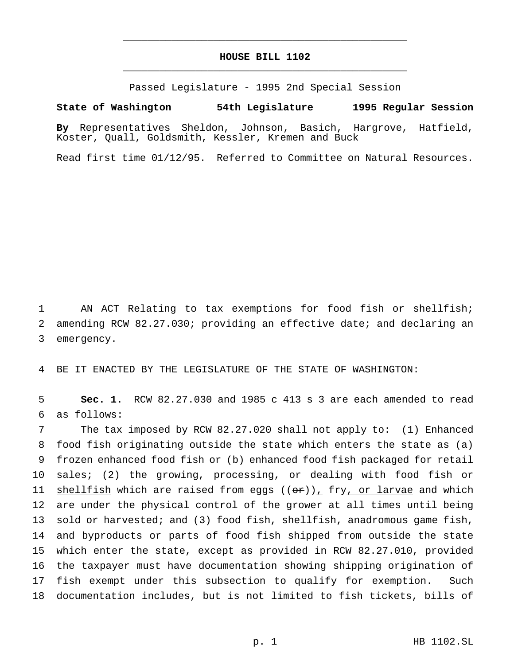# **HOUSE BILL 1102** \_\_\_\_\_\_\_\_\_\_\_\_\_\_\_\_\_\_\_\_\_\_\_\_\_\_\_\_\_\_\_\_\_\_\_\_\_\_\_\_\_\_\_\_\_\_\_

\_\_\_\_\_\_\_\_\_\_\_\_\_\_\_\_\_\_\_\_\_\_\_\_\_\_\_\_\_\_\_\_\_\_\_\_\_\_\_\_\_\_\_\_\_\_\_

Passed Legislature - 1995 2nd Special Session

#### **State of Washington 54th Legislature 1995 Regular Session**

**By** Representatives Sheldon, Johnson, Basich, Hargrove, Hatfield, Koster, Quall, Goldsmith, Kessler, Kremen and Buck

Read first time 01/12/95. Referred to Committee on Natural Resources.

1 AN ACT Relating to tax exemptions for food fish or shellfish; 2 amending RCW 82.27.030; providing an effective date; and declaring an 3 emergency.

4 BE IT ENACTED BY THE LEGISLATURE OF THE STATE OF WASHINGTON:

5 **Sec. 1.** RCW 82.27.030 and 1985 c 413 s 3 are each amended to read 6 as follows:

 The tax imposed by RCW 82.27.020 shall not apply to: (1) Enhanced food fish originating outside the state which enters the state as (a) frozen enhanced food fish or (b) enhanced food fish packaged for retail 10 sales; (2) the growing, processing, or dealing with food fish or 11 shellfish which are raised from eggs  $((\theta \cdot r))_+$  fry, or larvae and which are under the physical control of the grower at all times until being sold or harvested; and (3) food fish, shellfish, anadromous game fish, and byproducts or parts of food fish shipped from outside the state which enter the state, except as provided in RCW 82.27.010, provided the taxpayer must have documentation showing shipping origination of fish exempt under this subsection to qualify for exemption. Such documentation includes, but is not limited to fish tickets, bills of